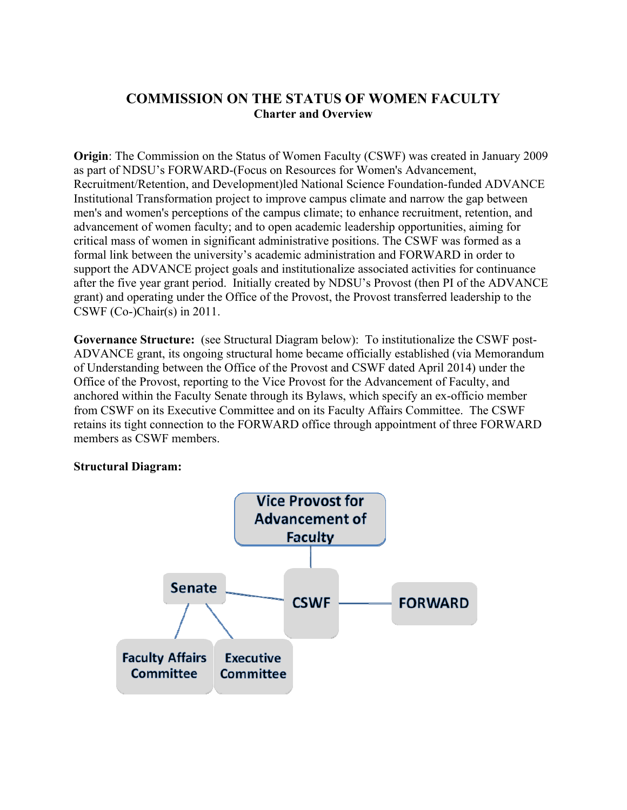## **COMMISSION ON THE STATUS OF WOMEN FACULTY Charter and Overview**

**Origin**: The Commission on the Status of Women Faculty (CSWF) was created in January 2009 as part of NDSU's FORWARD-(Focus on Resources for Women's Advancement, Recruitment/Retention, and Development)led National Science Foundation-funded ADVANCE Institutional Transformation project to improve campus climate and narrow the gap between men's and women's perceptions of the campus climate; to enhance recruitment, retention, and advancement of women faculty; and to open academic leadership opportunities, aiming for critical mass of women in significant administrative positions. The CSWF was formed as a formal link between the university's academic administration and FORWARD in order to support the ADVANCE project goals and institutionalize associated activities for continuance after the five year grant period. Initially created by NDSU's Provost (then PI of the ADVANCE grant) and operating under the Office of the Provost, the Provost transferred leadership to the CSWF (Co-)Chair(s) in 2011.

**Governance Structure:** (see Structural Diagram below): To institutionalize the CSWF post-ADVANCE grant, its ongoing structural home became officially established (via Memorandum of Understanding between the Office of the Provost and CSWF dated April 2014) under the Office of the Provost, reporting to the Vice Provost for the Advancement of Faculty, and anchored within the Faculty Senate through its Bylaws, which specify an ex-officio member from CSWF on its Executive Committee and on its Faculty Affairs Committee. The CSWF retains its tight connection to the FORWARD office through appointment of three FORWARD members as CSWF members.

## **Structural Diagram:**

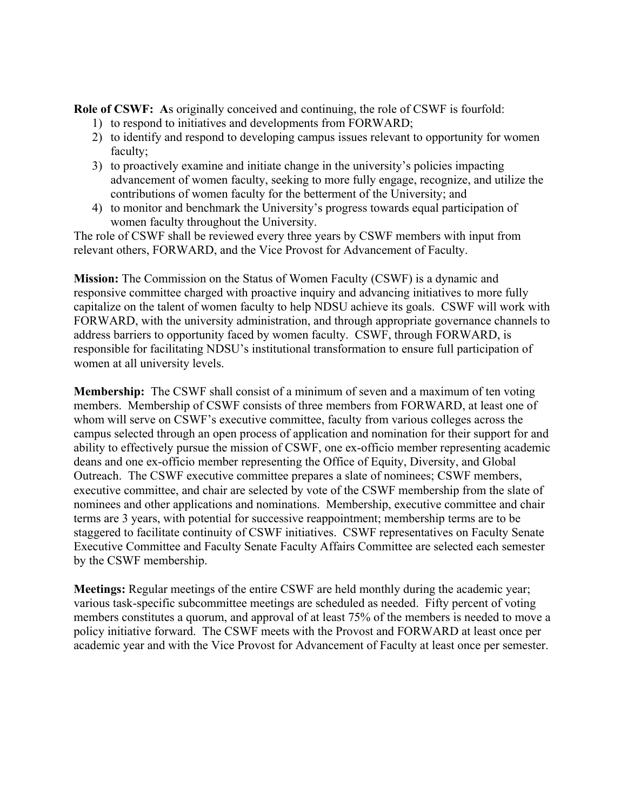**Role of CSWF: A**s originally conceived and continuing, the role of CSWF is fourfold:

- 1) to respond to initiatives and developments from FORWARD;
- 2) to identify and respond to developing campus issues relevant to opportunity for women faculty;
- 3) to proactively examine and initiate change in the university's policies impacting advancement of women faculty, seeking to more fully engage, recognize, and utilize the contributions of women faculty for the betterment of the University; and
- 4) to monitor and benchmark the University's progress towards equal participation of women faculty throughout the University.

The role of CSWF shall be reviewed every three years by CSWF members with input from relevant others, FORWARD, and the Vice Provost for Advancement of Faculty.

**Mission:** The Commission on the Status of Women Faculty (CSWF) is a dynamic and responsive committee charged with proactive inquiry and advancing initiatives to more fully capitalize on the talent of women faculty to help NDSU achieve its goals. CSWF will work with FORWARD, with the university administration, and through appropriate governance channels to address barriers to opportunity faced by women faculty. CSWF, through FORWARD, is responsible for facilitating NDSU's institutional transformation to ensure full participation of women at all university levels.

**Membership:** The CSWF shall consist of a minimum of seven and a maximum of ten voting members. Membership of CSWF consists of three members from FORWARD, at least one of whom will serve on CSWF's executive committee, faculty from various colleges across the campus selected through an open process of application and nomination for their support for and ability to effectively pursue the mission of CSWF, one ex-officio member representing academic deans and one ex-officio member representing the Office of Equity, Diversity, and Global Outreach. The CSWF executive committee prepares a slate of nominees; CSWF members, executive committee, and chair are selected by vote of the CSWF membership from the slate of nominees and other applications and nominations. Membership, executive committee and chair terms are 3 years, with potential for successive reappointment; membership terms are to be staggered to facilitate continuity of CSWF initiatives. CSWF representatives on Faculty Senate Executive Committee and Faculty Senate Faculty Affairs Committee are selected each semester by the CSWF membership.

**Meetings:** Regular meetings of the entire CSWF are held monthly during the academic year; various task-specific subcommittee meetings are scheduled as needed. Fifty percent of voting members constitutes a quorum, and approval of at least 75% of the members is needed to move a policy initiative forward. The CSWF meets with the Provost and FORWARD at least once per academic year and with the Vice Provost for Advancement of Faculty at least once per semester.